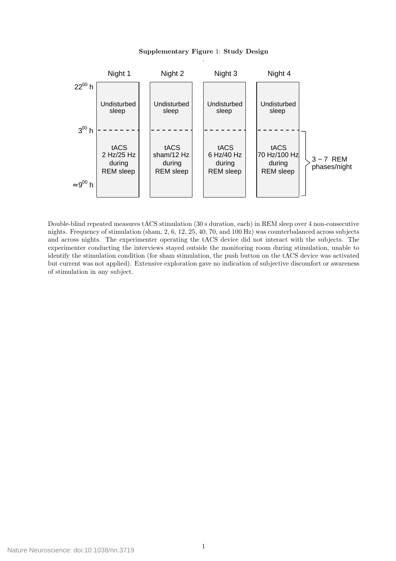## Supplementary Figure 1: Study Design



Double-blind repeated measures tACS stimulation (30 s duration, each) in REM sleep over 4 non-consecutive nights. Frequency of stimulation (sham, 2, 6, 12, 25, 40, 70, and 100 Hz) was counterbalanced across subjects and across nights. The experimenter operating the tACS device did not interact with the subjects. The experimenter conducting the interviews stayed outside the monitoring room during stimulation, unable to identify the stimulation condition (for sham stimulation, the push button on the tACS device was activated but current was not applied). Extensive exploration gave no indication of subjective discomfort or awareness of stimulation in any subject.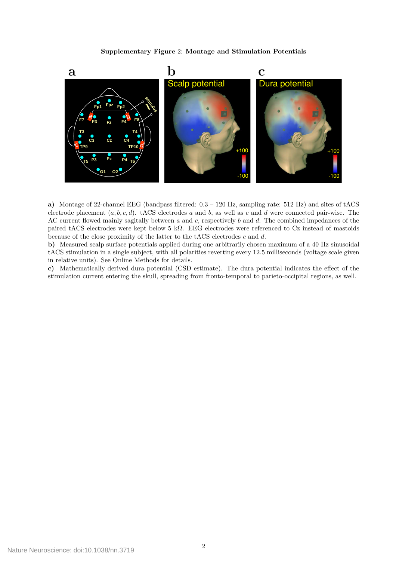Supplementary Figure 2: Montage and Stimulation Potentials



a) Montage of 22-channel EEG (bandpass filtered: 0.3 – 120 Hz, sampling rate: 512 Hz) and sites of tACS electrode placement  $(a, b, c, d)$ . tACS electrodes a and b, as well as c and d were connected pair-wise. The AC current flowed mainly sagitally between  $a$  and  $c$ , respectively  $b$  and  $d$ . The combined impedances of the paired tACS electrodes were kept below 5 kΩ. EEG electrodes were referenced to Cz instead of mastoids because of the close proximity of the latter to the tACS electrodes  $c$  and  $d$ .

b) Measured scalp surface potentials applied during one arbitrarily chosen maximum of a 40 Hz sinusoidal tACS stimulation in a single subject, with all polarities reverting every 12.5 milliseconds (voltage scale given in relative units). See Online Methods for details.

c) Mathematically derived dura potential (CSD estimate). The dura potential indicates the effect of the stimulation current entering the skull, spreading from fronto-temporal to parieto-occipital regions, as well.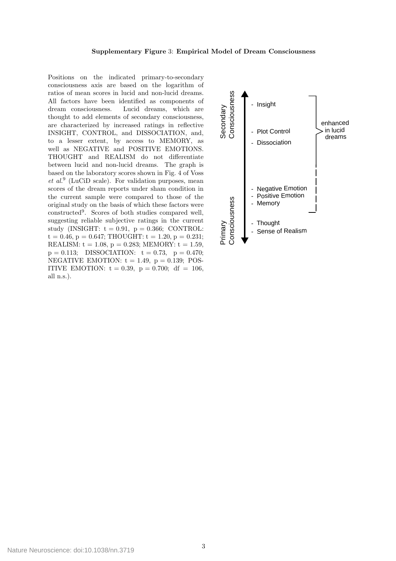## Supplementary Figure 3: Empirical Model of Dream Consciousness

Positions on the indicated primary-to-secondary consciousness axis are based on the logarithm of ratios of mean scores in lucid and non-lucid dreams. All factors have been identified as components of dream consciousness. Lucid dreams, which are thought to add elements of secondary consciousness, are characterized by increased ratings in reflective INSIGHT, CONTROL, and DISSOCIATION, and, to a lesser extent, by access to MEMORY, as well as NEGATIVE and POSITIVE EMOTIONS. THOUGHT and REALISM do not differentiate between lucid and non-lucid dreams. The graph is based on the laboratory scores shown in Fig. 4 of Voss  $et\ al.<sup>9</sup>$  (LuCiD scale). For validation purposes, mean scores of the dream reports under sham condition in the current sample were compared to those of the original study on the basis of which these factors were constructed<sup>9</sup> . Scores of both studies compared well, suggesting reliable subjective ratings in the current study (INSIGHT:  $t = 0.91$ ,  $p = 0.366$ ; CONTROL:  $t = 0.46$ ,  $p = 0.647$ ; THOUGHT:  $t = 1.20$ ,  $p = 0.231$ ; REALISM:  $t = 1.08$ ,  $p = 0.283$ ; MEMORY:  $t = 1.59$ ,  $p = 0.113$ ; DISSOCIATION:  $t = 0.73$ ,  $p = 0.470$ ; NEGATIVE EMOTION:  $t = 1.49$ ,  $p = 0.139$ ; POS-ITIVE EMOTION:  $t = 0.39$ ,  $p = 0.700$ ; df = 106, all n.s.).

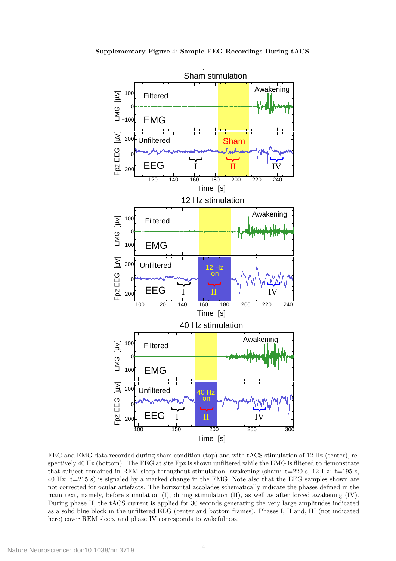

EEG and EMG data recorded during sham condition (top) and with tACS stimulation of 12 Hz (center), respectively 40 Hz (bottom). The EEG at site Fpz is shown unfiltered while the EMG is filtered to demonstrate that subject remained in REM sleep throughout stimulation; awakening (sham:  $t=220$  s, 12 Hz:  $t=195$  s, 40 Hz: t=215 s) is signaled by a marked change in the EMG. Note also that the EEG samples shown are not corrected for ocular artefacts. The horizontal accolades schematically indicate the phases defined in the main text, namely, before stimulation (I), during stimulation (II), as well as after forced awakening (IV). During phase II, the tACS current is applied for 30 seconds generating the very large amplitudes indicated as a solid blue block in the unfiltered EEG (center and bottom frames). Phases I, II and, III (not indicated here) cover REM sleep, and phase IV corresponds to wakefulness.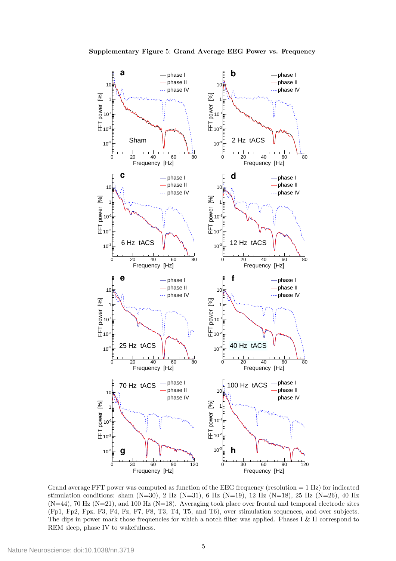

Grand average FFT power was computed as function of the EEG frequency (resolution  $= 1$  Hz) for indicated stimulation conditions: sham  $(N=30)$ , 2 Hz  $(N=31)$ , 6 Hz  $(N=19)$ , 12 Hz  $(N=18)$ , 25 Hz  $(N=26)$ , 40 Hz  $(N=44)$ , 70 Hz  $(N=21)$ , and 100 Hz  $(N=18)$ . Averaging took place over frontal and temporal electrode sites (Fp1, Fp2, Fpz, F3, F4, Fz, F7, F8, T3, T4, T5, and T6), over stimulation sequences, and over subjects. The dips in power mark those frequencies for which a notch filter was applied. Phases I & II correspond to REM sleep, phase IV to wakefulness.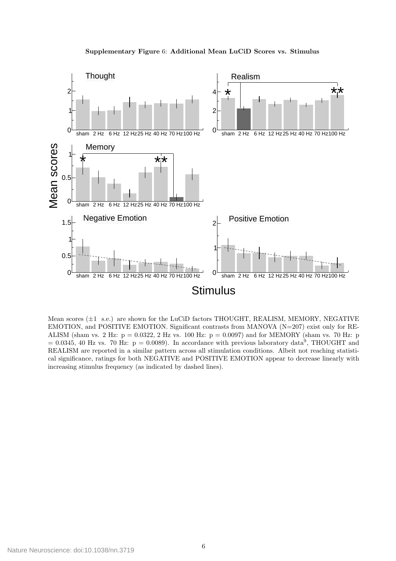

Supplementary Figure 6: Additional Mean LuCiD Scores vs. Stimulus

Mean scores  $(\pm 1 \text{ s.e.})$  are shown for the LuCiD factors THOUGHT, REALISM, MEMORY, NEGATIVE EMOTION, and POSITIVE EMOTION. Significant contrasts from MANOVA  $(N=207)$  exist only for RE-ALISM (sham vs. 2 Hz:  $p = 0.0322$ , 2 Hz vs. 100 Hz:  $p = 0.0097$ ) and for MEMORY (sham vs. 70 Hz: p  $= 0.0345, 40$  Hz vs. 70 Hz:  $p = 0.0089$ ). In accordance with previous laboratory data<sup>9</sup>, THOUGHT and REALISM are reported in a similar pattern across all stimulation conditions. Albeit not reaching statistical significance, ratings for both NEGATIVE and POSITIVE EMOTION appear to decrease linearly with increasing stimulus frequency (as indicated by dashed lines).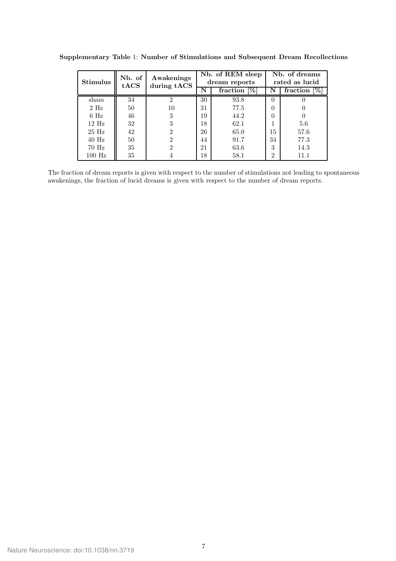|                   | Nb. of | Awakenings  |    | Nb. of REM sleep | Nb. of dreams               |                    |  |
|-------------------|--------|-------------|----|------------------|-----------------------------|--------------------|--|
| <b>Stimulus</b>   | tACS   | during tACS |    | dream reports    | rated as lucid              |                    |  |
|                   |        |             | N  | fraction $[\%]$  | N                           | $[\%]$<br>fraction |  |
| sham              | 34     | 2           | 30 | 93.8             | $\left( \right)$            |                    |  |
| $2$ Hz            | 50     | 10          | 31 | 77.5             | 0                           |                    |  |
| $6$ Hz            | 46     | 3           | 19 | 44.2             | $\theta$                    |                    |  |
| $12$ Hz           | 32     | 3           | 18 | 62.1             |                             | 5.6                |  |
| $25$ Hz           | 42     | 2           | 26 | 65.0             | 15                          | 57.6               |  |
| $40$ Hz           | 50     | 2           | 44 | 91.7             | 34                          | 77.3               |  |
| $70\ \mathrm{Hz}$ | 35     | 2           | 21 | 63.6             | 3                           | 14.3               |  |
| $100$ Hz          | 35     |             | 18 | 58.1             | $\mathcal{D}_{\mathcal{L}}$ | 11.1               |  |

Supplementary Table 1: Number of Stimulations and Subsequent Dream Recollections

The fraction of dream reports is given with respect to the number of stimulations not leading to spontaneous awakenings, the fraction of lucid dreams is given with respect to the number of dream reports.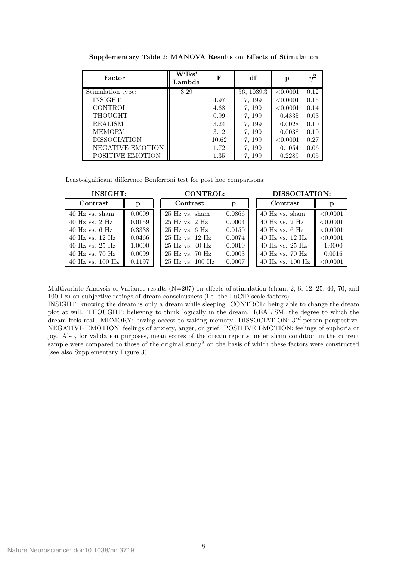| Factor              | Wilks'<br>Lambda | F     | df         | p        | $n^2$ |
|---------------------|------------------|-------|------------|----------|-------|
| Stimulation type:   | 3.29             |       | 56, 1039.3 | < 0.0001 | 0.12  |
| <b>INSIGHT</b>      |                  | 4.97  | 7, 199     | < 0.0001 | 0.15  |
| <b>CONTROL</b>      |                  | 4.68  | 7, 199     | < 0.0001 | 0.14  |
| THOUGHT             |                  | 0.99  | 7, 199     | 0.4335   | 0.03  |
| <b>REALISM</b>      |                  | 3.24  | 7, 199     | 0.0028   | 0.10  |
| <b>MEMORY</b>       |                  | 3.12  | 7, 199     | 0.0038   | 0.10  |
| <b>DISSOCIATION</b> |                  | 10.62 | 7, 199     | < 0.0001 | 0.27  |
| NEGATIVE EMOTION    |                  | 1.72  | 7, 199     | 0.1054   | 0.06  |
| POSITIVE EMOTION    |                  | 1.35  | 7, 199     | 0.2289   | 0.05  |

Supplementary Table 2: MANOVA Results on Effects of Stimulation

Least-significant difference Bonferroni test for post hoc comparisons:

| <b>INSIGHT:</b>      |        | <b>CONTROL:</b>      |        | DISSOCIATION:        |          |  |
|----------------------|--------|----------------------|--------|----------------------|----------|--|
| Contrast             |        | Contrast             |        | Contrast             |          |  |
| 40 Hz vs. sham       | 0.0009 | $25$ Hz vs. sham     | 0.0866 | 40 Hz vs. sham       | < 0.0001 |  |
| $40$ Hz vs. $2$ Hz   | 0.0159 | $25$ Hz vs. $2$ Hz   | 0.0004 | $40$ Hz vs. $2$ Hz   | < 0.0001 |  |
| $40$ Hz vs. $6$ Hz   | 0.3338 | $25$ Hz vs. $6$ Hz   | 0.0150 | $40$ Hz vs. $6$ Hz   | < 0.0001 |  |
| 40 Hz vs. 12 Hz      | 0.0466 | 25 Hz vs. 12 Hz      | 0.0074 | $40$ Hz vs. $12$ Hz  | < 0.0001 |  |
| $40$ Hz vs. $25$ Hz  | 1.0000 | $25$ Hz vs. $40$ Hz  | 0.0010 | $40$ Hz vs. $25$ Hz  | 1.0000   |  |
| $40$ Hz vs. $70$ Hz  | 0.0099 | $25$ Hz vs. 70 Hz    | 0.0003 | $40$ Hz vs. 70 Hz    | 0.0016   |  |
| $40$ Hz vs. $100$ Hz | 0.1197 | $25$ Hz vs. $100$ Hz | 0.0007 | $40$ Hz vs. $100$ Hz | < 0.0001 |  |

Multivariate Analysis of Variance results  $(N=207)$  on effects of stimulation (sham, 2, 6, 12, 25, 40, 70, and 100 Hz) on subjective ratings of dream consciousness (i.e. the LuCiD scale factors).

INSIGHT: knowing the dream is only a dream while sleeping. CONTROL: being able to change the dream plot at will. THOUGHT: believing to think logically in the dream. REALISM: the degree to which the dream feels real. MEMORY: having access to waking memory. DISSOCIATION:  $3^{rd}$ -person perspective. NEGATIVE EMOTION: feelings of anxiety, anger, or grief. POSITIVE EMOTION: feelings of euphoria or joy. Also, for validation purposes, mean scores of the dream reports under sham condition in the current sample were compared to those of the original study<sup>9</sup> on the basis of which these factors were constructed (see also Supplementary Figure 3).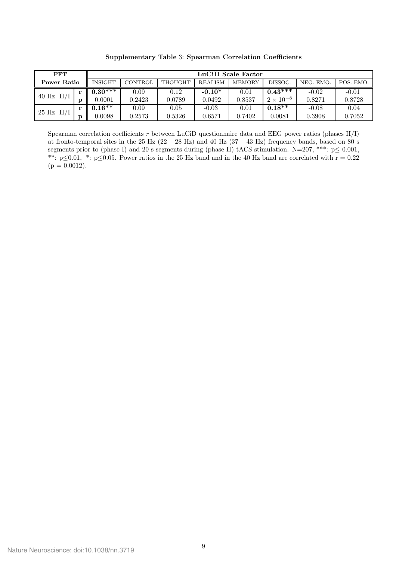| FFT                |           | LuCiD Scale Factor |         |         |                |               |                    |           |           |
|--------------------|-----------|--------------------|---------|---------|----------------|---------------|--------------------|-----------|-----------|
| <b>Power Ratio</b> |           | <b>INSIGHT</b>     | CONTROL | THOUGHT | <b>REALISM</b> | <b>MEMORY</b> | DISSOC.            | NEG. EMO. | POS. EMO. |
| $40$ Hz II/I       |           | $0.30***$          | 0.09    | 0.12    | $-0.10*$       | 0.01          | $0.43***$          | $-0.02$   | $-0.01$   |
|                    |           | 0.0001             | 0.2423  | 0.0789  | 0.0492         | 0.8537        | $2 \times 10^{-8}$ | 0.8271    | 0.8728    |
| $25$ Hz II/I       | <b>TO</b> | $0.16**$           | 0.09    | 0.05    | $-0.03$        | 0.01          | $0.18**$           | $-0.08$   | 0.04      |
|                    |           | 0.0098             | 0.2573  | 0.5326  | 0.6571         | 0.7402        | 0.0081             | 0.3908    | 0.7052    |

Supplementary Table 3: Spearman Correlation Coefficients

Spearman correlation coefficients  $r$  between LuCiD questionnaire data and EEG power ratios (phases II/I) at fronto-temporal sites in the 25 Hz (22 – 28 Hz) and 40 Hz (37 – 43 Hz) frequency bands, based on 80 s segments prior to (phase I) and 20 s segments during (phase II) tACS stimulation. N=207, \*\*\*:  $p \le 0.001$ , \*\*:  $p \le 0.01$ , \*:  $p \le 0.05$ . Power ratios in the 25 Hz band and in the 40 Hz band are correlated with  $r = 0.22$  $(p = 0.0012).$